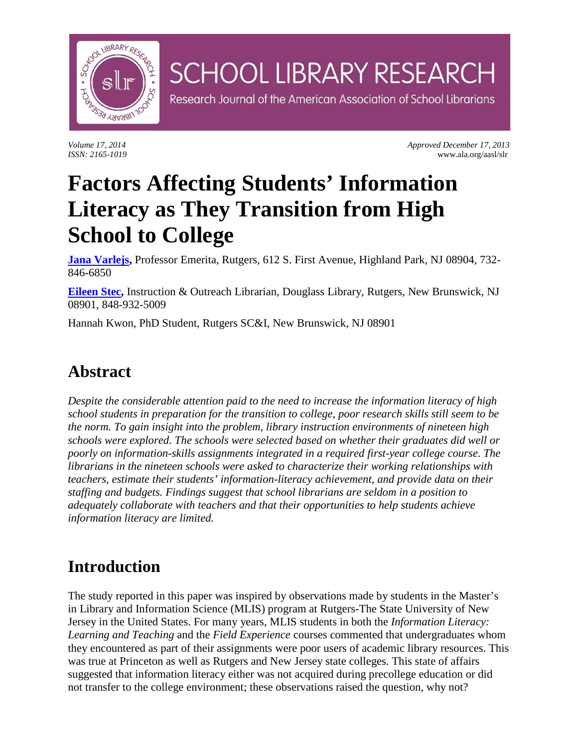

*Volume 17, 2014 Approved December 17, 2013 Approved December 17, 2013 Approved December 17, 2013 Assn.*: 2165-1019 *ISSN: 2165-1019* www.ala.org/aasl/slr

# **Factors Affecting Students' Information Literacy as They Transition from High School to College**

**[Jana Varlejs,](mailto:varlejs@rutgers.edu)** Professor Emerita, Rutgers, 612 S. First Avenue, Highland Park, NJ 08904, 732- 846-6850

**SCHOOL LIBRARY RESEARCH** 

Research Journal of the American Association of School Librarians

**[Eileen Stec,](mailto:estec@rci.rutgers.edu)** Instruction & Outreach Librarian, Douglass Library, Rutgers, New Brunswick, NJ 08901, 848-932-5009

Hannah Kwon, PhD Student, Rutgers SC&I, New Brunswick, NJ 08901

### **Abstract**

*Despite the considerable attention paid to the need to increase the information literacy of high school students in preparation for the transition to college, poor research skills still seem to be the norm. To gain insight into the problem, library instruction environments of nineteen high schools were explored. The schools were selected based on whether their graduates did well or poorly on information-skills assignments integrated in a required first-year college course. The librarians in the nineteen schools were asked to characterize their working relationships with teachers, estimate their students' information-literacy achievement, and provide data on their staffing and budgets. Findings suggest that school librarians are seldom in a position to adequately collaborate with teachers and that their opportunities to help students achieve information literacy are limited.*

### **Introduction**

The study reported in this paper was inspired by observations made by students in the Master's in Library and Information Science (MLIS) program at Rutgers-The State University of New Jersey in the United States. For many years, MLIS students in both the *Information Literacy: Learning and Teaching* and the *Field Experience* courses commented that undergraduates whom they encountered as part of their assignments were poor users of academic library resources. This was true at Princeton as well as Rutgers and New Jersey state colleges. This state of affairs suggested that information literacy either was not acquired during precollege education or did not transfer to the college environment; these observations raised the question, why not?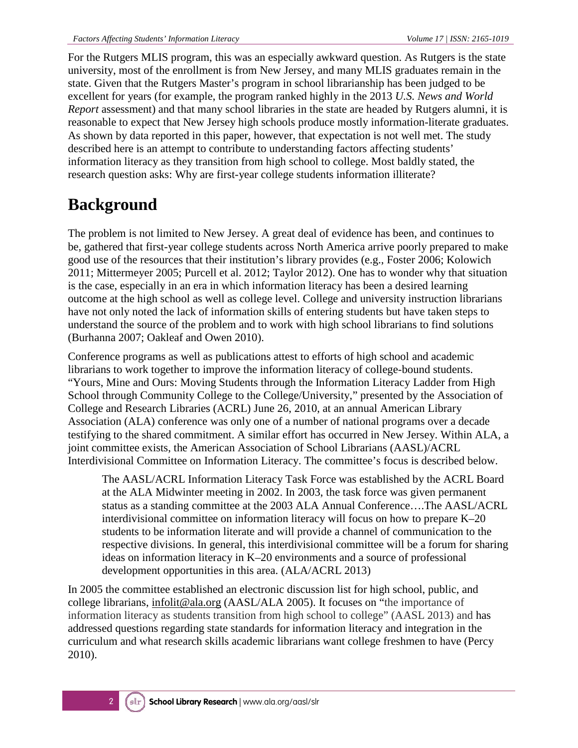For the Rutgers MLIS program, this was an especially awkward question. As Rutgers is the state university, most of the enrollment is from New Jersey, and many MLIS graduates remain in the state. Given that the Rutgers Master's program in school librarianship has been judged to be excellent for years (for example, the program ranked highly in the 2013 *U.S. News and World Report* assessment) and that many school libraries in the state are headed by Rutgers alumni, it is reasonable to expect that New Jersey high schools produce mostly information-literate graduates. As shown by data reported in this paper, however, that expectation is not well met. The study described here is an attempt to contribute to understanding factors affecting students' information literacy as they transition from high school to college. Most baldly stated, the research question asks: Why are first-year college students information illiterate?

# **Background**

The problem is not limited to New Jersey. A great deal of evidence has been, and continues to be, gathered that first-year college students across North America arrive poorly prepared to make good use of the resources that their institution's library provides (e.g., Foster 2006; Kolowich 2011; Mittermeyer 2005; Purcell et al. 2012; Taylor 2012). One has to wonder why that situation is the case, especially in an era in which information literacy has been a desired learning outcome at the high school as well as college level. College and university instruction librarians have not only noted the lack of information skills of entering students but have taken steps to understand the source of the problem and to work with high school librarians to find solutions (Burhanna 2007; Oakleaf and Owen 2010).

Conference programs as well as publications attest to efforts of high school and academic librarians to work together to improve the information literacy of college-bound students. "Yours, Mine and Ours: Moving Students through the Information Literacy Ladder from High School through Community College to the College/University," presented by the Association of College and Research Libraries (ACRL) June 26, 2010, at an annual American Library Association (ALA) conference was only one of a number of national programs over a decade testifying to the shared commitment. A similar effort has occurred in New Jersey. Within ALA, a joint committee exists, the American Association of School Librarians (AASL)/ACRL Interdivisional Committee on Information Literacy. The committee's focus is described below.

The AASL/ACRL Information Literacy Task Force was established by the ACRL Board at the ALA Midwinter meeting in 2002. In 2003, the task force was given permanent status as a standing committee at the 2003 ALA Annual Conference….The AASL/ACRL interdivisional committee on information literacy will focus on how to prepare K–20 students to be information literate and will provide a channel of communication to the respective divisions. In general, this interdivisional committee will be a forum for sharing ideas on information literacy in K–20 environments and a source of professional development opportunities in this area. (ALA/ACRL 2013)

In 2005 the committee established an electronic discussion list for high school, public, and college librarians, [infolit@ala.org](mailto:infolit@ala.org) (AASL/ALA 2005). It focuses on "the importance of information literacy as students transition from high school to college" (AASL 2013) and has addressed questions regarding state standards for information literacy and integration in the curriculum and what research skills academic librarians want college freshmen to have (Percy 2010).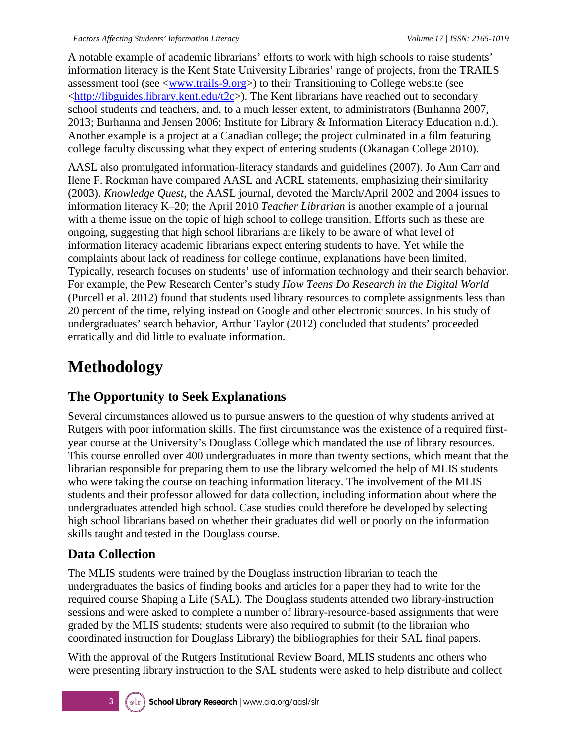A notable example of academic librarians' efforts to work with high schools to raise students' information literacy is the Kent State University Libraries' range of projects, from the TRAILS assessment tool (see [<www.trails-9.org>](http://www.trails-9.org/)) to their Transitioning to College website (see  $\lt$ http://libguides.library.kent.edu/t2c>). The Kent librarians have reached out to secondary school students and teachers, and, to a much lesser extent, to administrators (Burhanna 2007, 2013; Burhanna and Jensen 2006; Institute for Library & Information Literacy Education n.d.). Another example is a project at a Canadian college; the project culminated in a film featuring college faculty discussing what they expect of entering students (Okanagan College 2010).

AASL also promulgated information-literacy standards and guidelines (2007). Jo Ann Carr and Ilene F. Rockman have compared AASL and ACRL statements, emphasizing their similarity (2003). *Knowledge Quest*, the AASL journal, devoted the March/April 2002 and 2004 issues to information literacy K–20; the April 2010 *Teacher Librarian* is another example of a journal with a theme issue on the topic of high school to college transition. Efforts such as these are ongoing, suggesting that high school librarians are likely to be aware of what level of information literacy academic librarians expect entering students to have. Yet while the complaints about lack of readiness for college continue, explanations have been limited. Typically, research focuses on students' use of information technology and their search behavior. For example, the Pew Research Center's study *How Teens Do Research in the Digital World* (Purcell et al. 2012) found that students used library resources to complete assignments less than 20 percent of the time, relying instead on Google and other electronic sources. In his study of undergraduates' search behavior, Arthur Taylor (2012) concluded that students' proceeded erratically and did little to evaluate information.

# **Methodology**

### **The Opportunity to Seek Explanations**

Several circumstances allowed us to pursue answers to the question of why students arrived at Rutgers with poor information skills. The first circumstance was the existence of a required firstyear course at the University's Douglass College which mandated the use of library resources. This course enrolled over 400 undergraduates in more than twenty sections, which meant that the librarian responsible for preparing them to use the library welcomed the help of MLIS students who were taking the course on teaching information literacy. The involvement of the MLIS students and their professor allowed for data collection, including information about where the undergraduates attended high school. Case studies could therefore be developed by selecting high school librarians based on whether their graduates did well or poorly on the information skills taught and tested in the Douglass course.

### **Data Collection**

The MLIS students were trained by the Douglass instruction librarian to teach the undergraduates the basics of finding books and articles for a paper they had to write for the required course Shaping a Life (SAL). The Douglass students attended two library-instruction sessions and were asked to complete a number of library-resource-based assignments that were graded by the MLIS students; students were also required to submit (to the librarian who coordinated instruction for Douglass Library) the bibliographies for their SAL final papers.

With the approval of the Rutgers Institutional Review Board, MLIS students and others who were presenting library instruction to the SAL students were asked to help distribute and collect

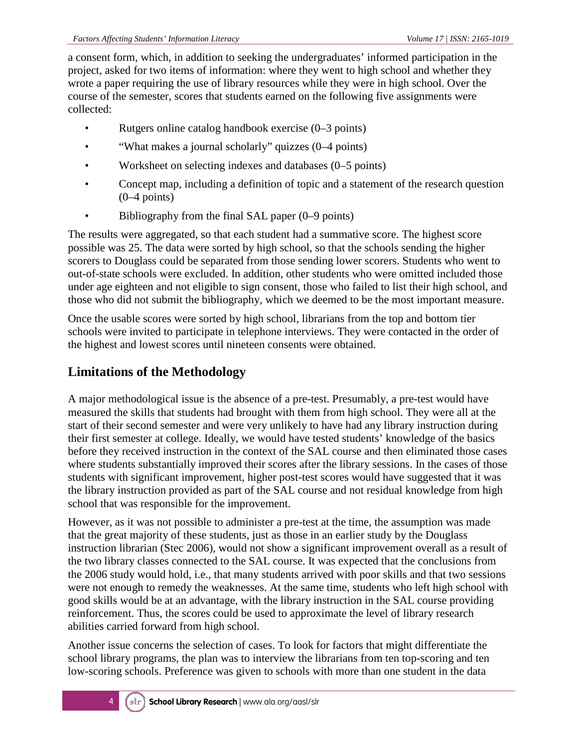a consent form, which, in addition to seeking the undergraduates' informed participation in the project, asked for two items of information: where they went to high school and whether they wrote a paper requiring the use of library resources while they were in high school. Over the course of the semester, scores that students earned on the following five assignments were collected:

- Rutgers online catalog handbook exercise (0–3 points)
- "What makes a journal scholarly" quizzes (0–4 points)
- Worksheet on selecting indexes and databases (0–5 points)
- Concept map, including a definition of topic and a statement of the research question (0–4 points)
- Bibliography from the final SAL paper (0–9 points)

The results were aggregated, so that each student had a summative score. The highest score possible was 25. The data were sorted by high school, so that the schools sending the higher scorers to Douglass could be separated from those sending lower scorers. Students who went to out-of-state schools were excluded. In addition, other students who were omitted included those under age eighteen and not eligible to sign consent, those who failed to list their high school, and those who did not submit the bibliography, which we deemed to be the most important measure.

Once the usable scores were sorted by high school, librarians from the top and bottom tier schools were invited to participate in telephone interviews. They were contacted in the order of the highest and lowest scores until nineteen consents were obtained.

#### **Limitations of the Methodology**

A major methodological issue is the absence of a pre-test. Presumably, a pre-test would have measured the skills that students had brought with them from high school. They were all at the start of their second semester and were very unlikely to have had any library instruction during their first semester at college. Ideally, we would have tested students' knowledge of the basics before they received instruction in the context of the SAL course and then eliminated those cases where students substantially improved their scores after the library sessions. In the cases of those students with significant improvement, higher post-test scores would have suggested that it was the library instruction provided as part of the SAL course and not residual knowledge from high school that was responsible for the improvement.

However, as it was not possible to administer a pre-test at the time, the assumption was made that the great majority of these students, just as those in an earlier study by the Douglass instruction librarian (Stec 2006), would not show a significant improvement overall as a result of the two library classes connected to the SAL course. It was expected that the conclusions from the 2006 study would hold, i.e., that many students arrived with poor skills and that two sessions were not enough to remedy the weaknesses. At the same time, students who left high school with good skills would be at an advantage, with the library instruction in the SAL course providing reinforcement. Thus, the scores could be used to approximate the level of library research abilities carried forward from high school.

Another issue concerns the selection of cases. To look for factors that might differentiate the school library programs, the plan was to interview the librarians from ten top-scoring and ten low-scoring schools. Preference was given to schools with more than one student in the data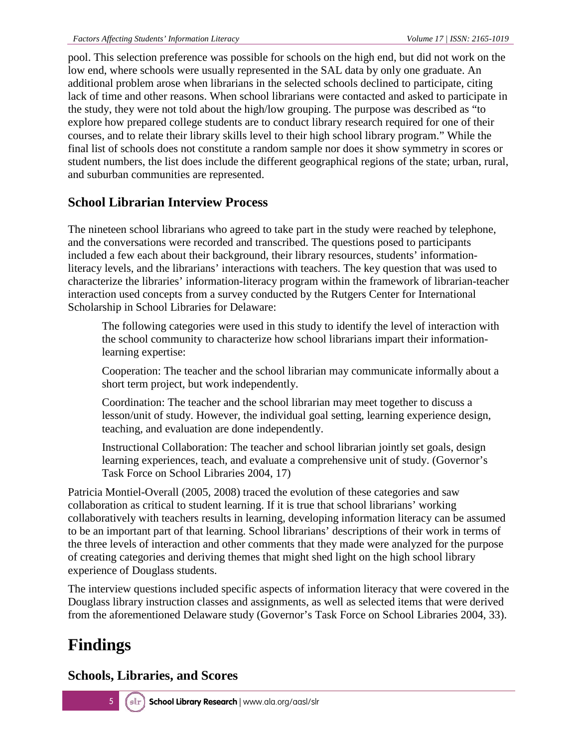pool. This selection preference was possible for schools on the high end, but did not work on the low end, where schools were usually represented in the SAL data by only one graduate. An additional problem arose when librarians in the selected schools declined to participate, citing lack of time and other reasons. When school librarians were contacted and asked to participate in the study, they were not told about the high/low grouping. The purpose was described as "to explore how prepared college students are to conduct library research required for one of their courses, and to relate their library skills level to their high school library program." While the final list of schools does not constitute a random sample nor does it show symmetry in scores or student numbers, the list does include the different geographical regions of the state; urban, rural, and suburban communities are represented.

#### **School Librarian Interview Process**

The nineteen school librarians who agreed to take part in the study were reached by telephone, and the conversations were recorded and transcribed. The questions posed to participants included a few each about their background, their library resources, students' informationliteracy levels, and the librarians' interactions with teachers. The key question that was used to characterize the libraries' information-literacy program within the framework of librarian-teacher interaction used concepts from a survey conducted by the Rutgers Center for International Scholarship in School Libraries for Delaware:

The following categories were used in this study to identify the level of interaction with the school community to characterize how school librarians impart their informationlearning expertise:

Cooperation: The teacher and the school librarian may communicate informally about a short term project, but work independently.

Coordination: The teacher and the school librarian may meet together to discuss a lesson/unit of study. However, the individual goal setting, learning experience design, teaching, and evaluation are done independently.

Instructional Collaboration: The teacher and school librarian jointly set goals, design learning experiences, teach, and evaluate a comprehensive unit of study. (Governor's Task Force on School Libraries 2004, 17)

Patricia Montiel-Overall (2005, 2008) traced the evolution of these categories and saw collaboration as critical to student learning. If it is true that school librarians' working collaboratively with teachers results in learning, developing information literacy can be assumed to be an important part of that learning. School librarians' descriptions of their work in terms of the three levels of interaction and other comments that they made were analyzed for the purpose of creating categories and deriving themes that might shed light on the high school library experience of Douglass students.

The interview questions included specific aspects of information literacy that were covered in the Douglass library instruction classes and assignments, as well as selected items that were derived from the aforementioned Delaware study (Governor's Task Force on School Libraries 2004, 33).

# **Findings**

#### **Schools, Libraries, and Scores**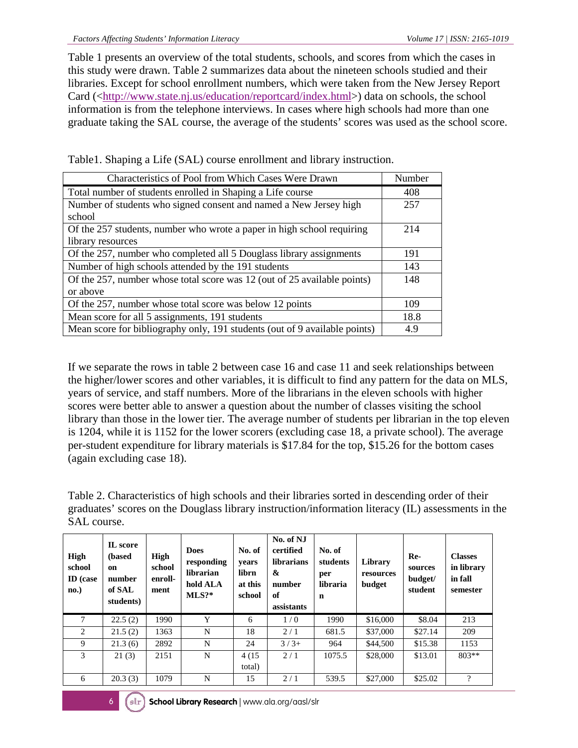Table 1 presents an overview of the total students, schools, and scores from which the cases in this study were drawn. Table 2 summarizes data about the nineteen schools studied and their libraries. Except for school enrollment numbers, which were taken from the New Jersey Report Card ([<http://www.state.nj.us/education/reportcard/index.html>](http://www.state.nj.us/education/reportcard/index.html)) data on schools, the school information is from the telephone interviews. In cases where high schools had more than one graduate taking the SAL course, the average of the students' scores was used as the school score.

Table1. Shaping a Life (SAL) course enrollment and library instruction.

| Characteristics of Pool from Which Cases Were Drawn                        | Number |
|----------------------------------------------------------------------------|--------|
| Total number of students enrolled in Shaping a Life course                 | 408    |
| Number of students who signed consent and named a New Jersey high          | 257    |
| school                                                                     |        |
| Of the 257 students, number who wrote a paper in high school requiring     | 214    |
| library resources                                                          |        |
| Of the 257, number who completed all 5 Douglass library assignments        | 191    |
| Number of high schools attended by the 191 students                        | 143    |
| Of the 257, number whose total score was 12 (out of 25 available points)   | 148    |
| or above                                                                   |        |
| Of the 257, number whose total score was below 12 points                   | 109    |
| Mean score for all 5 assignments, 191 students                             | 18.8   |
| Mean score for bibliography only, 191 students (out of 9 available points) | 4.9    |

If we separate the rows in table 2 between case 16 and case 11 and seek relationships between the higher/lower scores and other variables, it is difficult to find any pattern for the data on MLS, years of service, and staff numbers. More of the librarians in the eleven schools with higher scores were better able to answer a question about the number of classes visiting the school library than those in the lower tier. The average number of students per librarian in the top eleven is 1204, while it is 1152 for the lower scorers (excluding case 18, a private school). The average per-student expenditure for library materials is \$17.84 for the top, \$15.26 for the bottom cases (again excluding case 18).

Table 2. Characteristics of high schools and their libraries sorted in descending order of their graduates' scores on the Douglass library instruction/information literacy (IL) assessments in the SAL course.

| High<br>school<br><b>ID</b> (case<br>no.) | IL score<br>(based)<br>on<br>number<br>of SAL<br>students) | High<br>school<br>enroll-<br>ment | <b>Does</b><br>responding<br>librarian<br>hold ALA<br>$MLS$ ?* | No. of<br>vears<br>librn<br>at this<br>school | No. of NJ<br>certified<br><b>librarians</b><br>&<br>number<br>of<br>assistants | No. of<br>students<br>per<br>libraria<br>n | Library<br>resources<br>budget | Re-<br>sources<br>budget/<br>student | <b>Classes</b><br>in library<br>in fall<br>semester |
|-------------------------------------------|------------------------------------------------------------|-----------------------------------|----------------------------------------------------------------|-----------------------------------------------|--------------------------------------------------------------------------------|--------------------------------------------|--------------------------------|--------------------------------------|-----------------------------------------------------|
| 7                                         | 22.5(2)                                                    | 1990                              | Y                                                              | 6                                             | 1/0                                                                            | 1990                                       | \$16,000                       | \$8.04                               | 213                                                 |
| 2                                         | 21.5(2)                                                    | 1363                              | N                                                              | 18                                            | 2/1                                                                            | 681.5                                      | \$37,000                       | \$27.14                              | 209                                                 |
| 9                                         | 21.3(6)                                                    | 2892                              | N                                                              | 24                                            | $3/3+$                                                                         | 964                                        | \$44,500                       | \$15.38                              | 1153                                                |
| 3                                         | 21(3)                                                      | 2151                              | N                                                              | 4 (15)                                        | 2/1                                                                            | 1075.5                                     | \$28,000                       | \$13.01                              | $803**$                                             |
|                                           |                                                            |                                   |                                                                | total)                                        |                                                                                |                                            |                                |                                      |                                                     |
| 6                                         | 20.3(3)                                                    | 1079                              | N                                                              | 15                                            | 2/1                                                                            | 539.5                                      | \$27,000                       | \$25.02                              | $\overline{\cdot}$                                  |

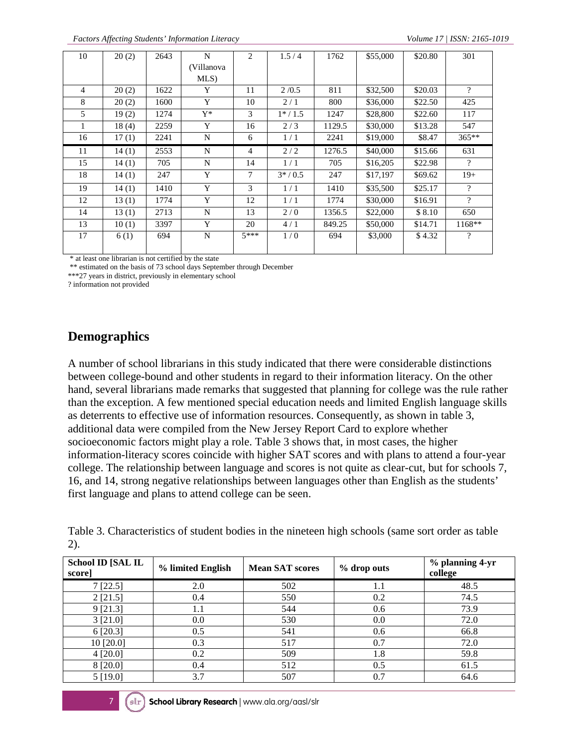*Factors Affecting Students' Information Literacy Volume 17 | ISSN: 2165-1019*

| 10 | 20(2) | 2643 | N          | 2              | 1.5/4    | 1762   | \$55,000 | \$20.80 | 301                      |
|----|-------|------|------------|----------------|----------|--------|----------|---------|--------------------------|
|    |       |      | (Villanova |                |          |        |          |         |                          |
|    |       |      | MLS)       |                |          |        |          |         |                          |
| 4  | 20(2) | 1622 | Y          | 11             | 2/0.5    | 811    | \$32,500 | \$20.03 | 9                        |
| 8  | 20(2) | 1600 | Y          | 10             | 2/1      | 800    | \$36,000 | \$22.50 | 425                      |
| 5  | 19(2) | 1274 | $Y^*$      | 3              | $1*/1.5$ | 1247   | \$28,800 | \$22.60 | 117                      |
| 1  | 18(4) | 2259 | Y          | 16             | 2/3      | 1129.5 | \$30,000 | \$13.28 | 547                      |
| 16 | 17(1) | 2241 | N          | 6              | 1/1      | 2241   | \$19,000 | \$8.47  | $365**$                  |
| 11 | 14(1) | 2553 | N          | $\overline{4}$ | 2/2      | 1276.5 | \$40,000 | \$15.66 | 631                      |
| 15 | 14(1) | 705  | N          | 14             | 1/1      | 705    | \$16,205 | \$22.98 | ?                        |
| 18 | 14(1) | 247  | Y          | 7              | $3*/0.5$ | 247    | \$17,197 | \$69.62 | $19+$                    |
| 19 | 14(1) | 1410 | Y          | 3              | 1/1      | 1410   | \$35,500 | \$25.17 | $\gamma$                 |
| 12 | 13(1) | 1774 | Y          | 12             | 1/1      | 1774   | \$30,000 | \$16.91 | $\gamma$                 |
| 14 | 13(1) | 2713 | N          | 13             | 2/0      | 1356.5 | \$22,000 | \$8.10  | 650                      |
| 13 | 10(1) | 3397 | Y          | 20             | 4/1      | 849.25 | \$50,000 | \$14.71 | $1168**$                 |
| 17 | 6(1)  | 694  | N          | $5***$         | 1/0      | 694    | \$3,000  | \$4.32  | $\overline{\mathcal{C}}$ |
|    |       |      |            |                |          |        |          |         |                          |

\* at least one librarian is not certified by the state

\*\* estimated on the basis of 73 school days September through December

\*\*\*27 years in district, previously in elementary school

? information not provided

#### **Demographics**

A number of school librarians in this study indicated that there were considerable distinctions between college-bound and other students in regard to their information literacy. On the other hand, several librarians made remarks that suggested that planning for college was the rule rather than the exception. A few mentioned special education needs and limited English language skills as deterrents to effective use of information resources. Consequently, as shown in table 3, additional data were compiled from the New Jersey Report Card to explore whether socioeconomic factors might play a role. Table 3 shows that, in most cases, the higher information-literacy scores coincide with higher SAT scores and with plans to attend a four-year college. The relationship between language and scores is not quite as clear-cut, but for schools 7, 16, and 14, strong negative relationships between languages other than English as the students' first language and plans to attend college can be seen.

Table 3. Characteristics of student bodies in the nineteen high schools (same sort order as table 2).

| School ID [SAL IL<br>score] | % limited English | <b>Mean SAT scores</b> | % drop outs | % planning 4-yr<br>college |
|-----------------------------|-------------------|------------------------|-------------|----------------------------|
| 7[22.5]                     | 2.0               | 502                    | $1.1\,$     | 48.5                       |
| 2 [21.5]                    | 0.4               | 550                    | 0.2         | 74.5                       |
| 9 [21.3]                    | 1.1               | 544                    | 0.6         | 73.9                       |
| 3 [21.0]                    | 0.0               | 530                    | 0.0         | 72.0                       |
| 6[20.3]                     | 0.5               | 541                    | 0.6         | 66.8                       |
| 10 [20.0]                   | 0.3               | 517                    | 0.7         | 72.0                       |
| 4 [20.0]                    | 0.2               | 509                    | 1.8         | 59.8                       |
| 8 [20.0]                    | 0.4               | 512                    | 0.5         | 61.5                       |
| 5[19.0]                     | 3.7               | 507                    | 0.7         | 64.6                       |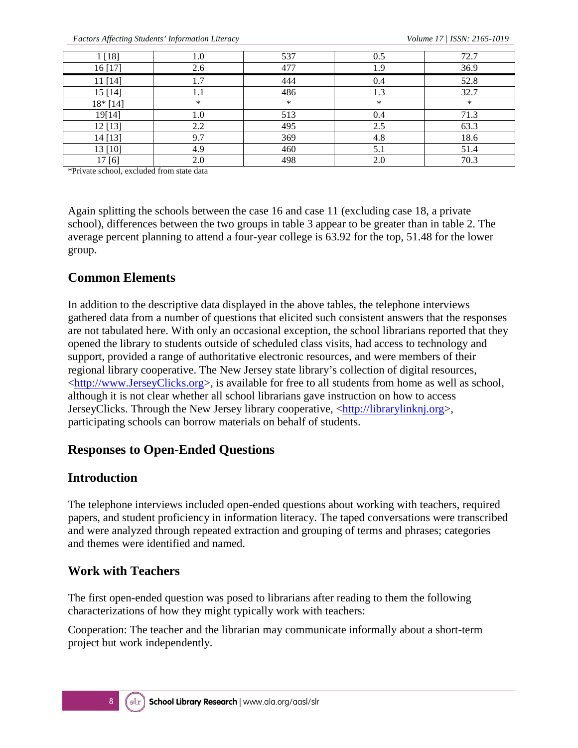*Factors Affecting Students' Information Literacy Volume 17 | ISSN: 2165-1019*

| 1 [18]   | $_{1.0}$ | 537    | 0.5 | 72.7 |
|----------|----------|--------|-----|------|
| 16 [17]  | 2.6      | 477    | 1.9 | 36.9 |
| 11[14]   | 1.7      | 444    | 0.4 | 52.8 |
| 15[14]   | 1.1      | 486    | 1.3 | 32.7 |
| 18* [14] | *        | $\ast$ | *   | ∗    |
| 19[14]   | 1.0      | 513    | 0.4 | 71.3 |
| 12 [13]  | 2.2      | 495    | 2.5 | 63.3 |
| 14 [13]  | 9.7      | 369    | 4.8 | 18.6 |
| 13 [10]  | 4.9      | 460    | 5.1 | 51.4 |
| 17 [6]   | 2.0      | 498    | 2.0 | 70.3 |

\*Private school, excluded from state data

Again splitting the schools between the case 16 and case 11 (excluding case 18, a private school), differences between the two groups in table 3 appear to be greater than in table 2. The average percent planning to attend a four-year college is 63.92 for the top, 51.48 for the lower group.

#### **Common Elements**

In addition to the descriptive data displayed in the above tables, the telephone interviews gathered data from a number of questions that elicited such consistent answers that the responses are not tabulated here. With only an occasional exception, the school librarians reported that they opened the library to students outside of scheduled class visits, had access to technology and support, provided a range of authoritative electronic resources, and were members of their regional library cooperative. The New Jersey state library's collection of digital resources, [<http://www.JerseyClicks.org>](http://www.jerseyclicks.org/), is available for free to all students from home as well as school, although it is not clear whether all school librarians gave instruction on how to access JerseyClicks. Through the New Jersey library cooperative, [<http://librarylinknj.org>](http://librarylinknj.org/), participating schools can borrow materials on behalf of students.

#### **Responses to Open-Ended Questions**

#### **Introduction**

The telephone interviews included open-ended questions about working with teachers, required papers, and student proficiency in information literacy. The taped conversations were transcribed and were analyzed through repeated extraction and grouping of terms and phrases; categories and themes were identified and named.

#### **Work with Teachers**

The first open-ended question was posed to librarians after reading to them the following characterizations of how they might typically work with teachers:

Cooperation: The teacher and the librarian may communicate informally about a short-term project but work independently.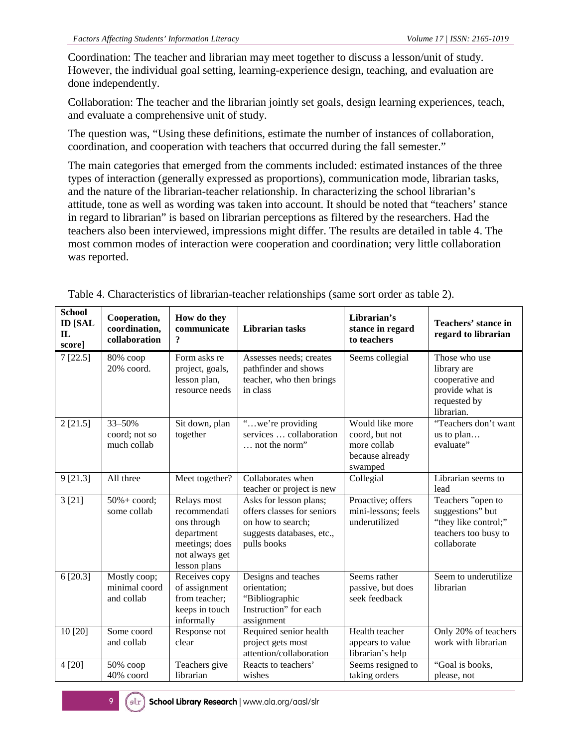Coordination: The teacher and librarian may meet together to discuss a lesson/unit of study. However, the individual goal setting, learning-experience design, teaching, and evaluation are done independently.

Collaboration: The teacher and the librarian jointly set goals, design learning experiences, teach, and evaluate a comprehensive unit of study.

The question was, "Using these definitions, estimate the number of instances of collaboration, coordination, and cooperation with teachers that occurred during the fall semester."

The main categories that emerged from the comments included: estimated instances of the three types of interaction (generally expressed as proportions), communication mode, librarian tasks, and the nature of the librarian-teacher relationship. In characterizing the school librarian's attitude, tone as well as wording was taken into account. It should be noted that "teachers' stance in regard to librarian" is based on librarian perceptions as filtered by the researchers. Had the teachers also been interviewed, impressions might differ. The results are detailed in table 4. The most common modes of interaction were cooperation and coordination; very little collaboration was reported.

| <b>School</b><br><b>ID [SAL</b><br>$\mathbf{I}$<br>score] | Cooperation,<br>coordination,<br>collaboration | How do they<br>communicate<br>$\overline{\mathbf{?}}$                                                        | <b>Librarian</b> tasks                                                                                                | Librarian's<br>stance in regard<br>to teachers                                 | Teachers' stance in<br>regard to librarian                                                           |
|-----------------------------------------------------------|------------------------------------------------|--------------------------------------------------------------------------------------------------------------|-----------------------------------------------------------------------------------------------------------------------|--------------------------------------------------------------------------------|------------------------------------------------------------------------------------------------------|
| 7[22.5]                                                   | 80% coop<br>20% coord.                         | Form asks re<br>project, goals,<br>lesson plan,<br>resource needs                                            | Assesses needs; creates<br>pathfinder and shows<br>teacher, who then brings<br>in class                               | Seems collegial                                                                | Those who use<br>library are<br>cooperative and<br>provide what is<br>requested by<br>librarian.     |
| 2 [21.5]                                                  | 33-50%<br>coord; not so<br>much collab         | Sit down, plan<br>together                                                                                   | "we're providing<br>services  collaboration<br>not the norm"                                                          | Would like more<br>coord, but not<br>more collab<br>because already<br>swamped | "Teachers don't want<br>us to plan<br>evaluate"                                                      |
| 9 [21.3]                                                  | All three                                      | Meet together?                                                                                               | Collaborates when<br>teacher or project is new                                                                        | Collegial                                                                      | Librarian seems to<br>lead                                                                           |
| 3 [21]                                                    | $50\% + \text{coord}$ ;<br>some collab         | Relays most<br>recommendati<br>ons through<br>department<br>meetings; does<br>not always get<br>lesson plans | Asks for lesson plans;<br>offers classes for seniors<br>on how to search;<br>suggests databases, etc.,<br>pulls books | Proactive; offers<br>mini-lessons; feels<br>underutilized                      | Teachers "open to<br>suggestions" but<br>"they like control;"<br>teachers too busy to<br>collaborate |
| 6[20.3]                                                   | Mostly coop;<br>minimal coord<br>and collab    | Receives copy<br>of assignment<br>from teacher;<br>keeps in touch<br>informally                              | Designs and teaches<br>orientation;<br>"Bibliographic<br>Instruction" for each<br>assignment                          | Seems rather<br>passive, but does<br>seek feedback                             | Seem to underutilize<br>librarian                                                                    |
| 10 [20]                                                   | Some coord<br>and collab                       | Response not<br>clear                                                                                        | Required senior health<br>project gets most<br>attention/collaboration                                                | Health teacher<br>appears to value<br>librarian's help                         | Only 20% of teachers<br>work with librarian                                                          |
| 4 [20]                                                    | 50% соор<br>40% coord                          | Teachers give<br>librarian                                                                                   | Reacts to teachers'<br>wishes                                                                                         | Seems resigned to<br>taking orders                                             | "Goal is books,<br>please, not                                                                       |

Table 4. Characteristics of librarian-teacher relationships (same sort order as table 2).

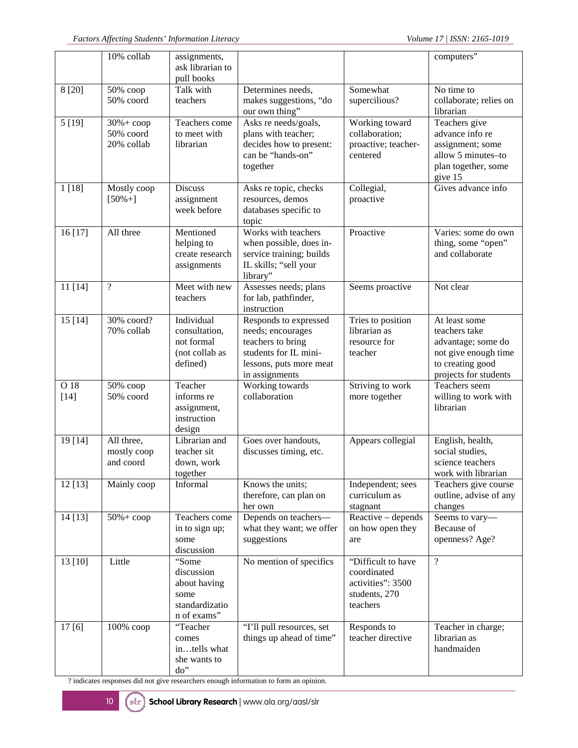|                | 10% collab                                      | assignments,<br>ask librarian to<br>pull books                               |                                                                                                                                       |                                                                                     | computers"                                                                                                                |
|----------------|-------------------------------------------------|------------------------------------------------------------------------------|---------------------------------------------------------------------------------------------------------------------------------------|-------------------------------------------------------------------------------------|---------------------------------------------------------------------------------------------------------------------------|
| 8 [20]         | 50% соор<br>50% coord                           | Talk with<br>teachers                                                        | Determines needs,<br>makes suggestions, "do<br>our own thing"                                                                         | Somewhat<br>supercilious?                                                           | No time to<br>collaborate; relies on<br>librarian                                                                         |
| 5[19]          | $30\% + \text{coop}$<br>50% coord<br>20% collab | Teachers come<br>to meet with<br>librarian                                   | Asks re needs/goals,<br>plans with teacher;<br>decides how to present:<br>can be "hands-on"<br>together                               | Working toward<br>collaboration;<br>proactive; teacher-<br>centered                 | Teachers give<br>advance info re<br>assignment; some<br>allow 5 minutes-to<br>plan together, some<br>give 15              |
| 1[18]          | Mostly coop<br>$[50\% +]$                       | <b>Discuss</b><br>assignment<br>week before                                  | Asks re topic, checks<br>resources, demos<br>databases specific to<br>topic                                                           | Collegial,<br>proactive                                                             | Gives advance info                                                                                                        |
| 16 [17]        | All three                                       | Mentioned<br>helping to<br>create research<br>assignments                    | Works with teachers<br>when possible, does in-<br>service training; builds<br>IL skills; "sell your<br>library"                       | Proactive                                                                           | Varies: some do own<br>thing, some "open"<br>and collaborate                                                              |
| 11 [14]        | $\overline{\mathcal{L}}$                        | Meet with new<br>teachers                                                    | Assesses needs; plans<br>for lab, pathfinder,<br>instruction                                                                          | Seems proactive                                                                     | Not clear                                                                                                                 |
| 15 [14]        | $30\%$ coord?<br>70% collab                     | Individual<br>consultation,<br>not formal<br>(not collab as<br>defined)      | Responds to expressed<br>needs; encourages<br>teachers to bring<br>students for IL mini-<br>lessons, puts more meat<br>in assignments | Tries to position<br>librarian as<br>resource for<br>teacher                        | At least some<br>teachers take<br>advantage; some do<br>not give enough time<br>to creating good<br>projects for students |
| O 18<br>$[14]$ | 50% соор<br>50% coord                           | Teacher<br>informs re<br>assignment,<br>instruction<br>design                | Working towards<br>collaboration                                                                                                      | Striving to work<br>more together                                                   | Teachers seem<br>willing to work with<br>librarian                                                                        |
| 19 [14]        | All three,<br>mostly coop<br>and coord          | Librarian and<br>teacher sit<br>down, work<br>together                       | Goes over handouts,<br>discusses timing, etc.                                                                                         | Appears collegial                                                                   | English, health,<br>social studies,<br>science teachers<br>work with librarian                                            |
| 12 [13]        | Mainly coop                                     | Informal                                                                     | Knows the units;<br>therefore, can plan on<br>her own                                                                                 | Independent; sees<br>curriculum as<br>stagnant                                      | Teachers give course<br>outline, advise of any<br>changes                                                                 |
| 14 [13]        | $50\% + \text{coop}$                            | Teachers come<br>in to sign up;<br>some<br>discussion                        | Depends on teachers-<br>what they want; we offer<br>suggestions                                                                       | Reactive – depends<br>on how open they<br>are                                       | Seems to vary-<br>Because of<br>openness? Age?                                                                            |
| 13 [10]        | Little                                          | "Some<br>discussion<br>about having<br>some<br>standardizatio<br>n of exams" | No mention of specifics                                                                                                               | "Difficult to have<br>coordinated<br>activities": 3500<br>students, 270<br>teachers | $\overline{?}$                                                                                                            |
| 17[6]          | $\overline{100\%}$ coop                         | "Teacher<br>comes<br>intells what<br>she wants to<br>do"                     | "I'll pull resources, set<br>things up ahead of time"                                                                                 | Responds to<br>teacher directive                                                    | Teacher in charge;<br>librarian as<br>handmaiden                                                                          |

? indicates responses did not give researchers enough information to form an opinion.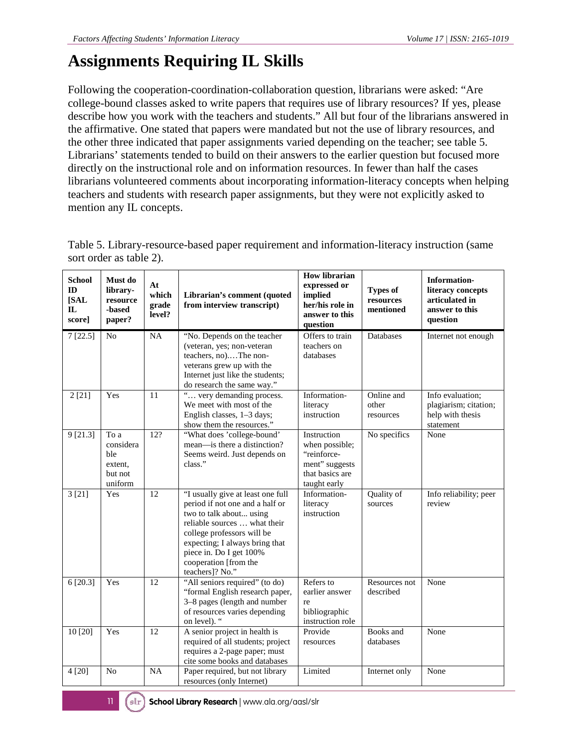# **Assignments Requiring IL Skills**

Following the cooperation-coordination-collaboration question, librarians were asked: "Are college-bound classes asked to write papers that requires use of library resources? If yes, please describe how you work with the teachers and students." All but four of the librarians answered in the affirmative. One stated that papers were mandated but not the use of library resources, and the other three indicated that paper assignments varied depending on the teacher; see table 5. Librarians' statements tended to build on their answers to the earlier question but focused more directly on the instructional role and on information resources. In fewer than half the cases librarians volunteered comments about incorporating information-literacy concepts when helping teachers and students with research paper assignments, but they were not explicitly asked to mention any IL concepts.

| <b>School</b><br>ID<br>[SAL<br>$\mathbf{L}$<br>score] | Must do<br>library-<br>resource<br>-based<br>paper?       | At<br>which<br>grade<br>level? | Librarian's comment (quoted<br>from interview transcript)                                                                                                                                                                                                              | <b>How librarian</b><br>expressed or<br>implied<br>her/his role in<br>answer to this<br>question  | <b>Types of</b><br>resources<br>mentioned | <b>Information-</b><br>literacy concepts<br>articulated in<br>answer to this<br>question |
|-------------------------------------------------------|-----------------------------------------------------------|--------------------------------|------------------------------------------------------------------------------------------------------------------------------------------------------------------------------------------------------------------------------------------------------------------------|---------------------------------------------------------------------------------------------------|-------------------------------------------|------------------------------------------------------------------------------------------|
| 7[22.5]                                               | N <sub>0</sub>                                            | NA                             | "No. Depends on the teacher<br>(veteran, yes; non-veteran<br>teachers, no)The non-<br>veterans grew up with the<br>Internet just like the students;<br>do research the same way."                                                                                      | Offers to train<br>teachers on<br>databases                                                       | Databases                                 | Internet not enough                                                                      |
| 2[21]                                                 | Yes                                                       | 11                             | " very demanding process.<br>We meet with most of the<br>English classes, 1-3 days;<br>show them the resources."                                                                                                                                                       | Information-<br>literacy<br>instruction                                                           | Online and<br>other<br>resources          | Info evaluation:<br>plagiarism; citation;<br>help with thesis<br>statement               |
| 9[21.3]                                               | To a<br>considera<br>ble<br>extent,<br>but not<br>uniform | $\overline{12?}$               | "What does 'college-bound'<br>mean—is there a distinction?<br>Seems weird. Just depends on<br>class."                                                                                                                                                                  | Instruction<br>when possible;<br>"reinforce-<br>ment" suggests<br>that basics are<br>taught early | No specifics                              | None                                                                                     |
| 3[21]                                                 | Yes                                                       | 12                             | "I usually give at least one full<br>period if not one and a half or<br>two to talk about using<br>reliable sources  what their<br>college professors will be<br>expecting; I always bring that<br>piece in. Do I get 100%<br>cooperation [from the<br>teachers]? No." | Information-<br>literacy<br>instruction                                                           | Quality of<br>sources                     | Info reliability; peer<br>review                                                         |
| 6[20.3]                                               | Yes                                                       | 12                             | "All seniors required" (to do)<br>"formal English research paper,<br>3-8 pages (length and number<br>of resources varies depending<br>on level). "                                                                                                                     | Refers to<br>earlier answer<br>re<br>bibliographic<br>instruction role                            | Resources not<br>described                | None                                                                                     |
| 10 [20]                                               | Yes                                                       | $\overline{12}$                | A senior project in health is<br>required of all students; project<br>requires a 2-page paper; must<br>cite some books and databases                                                                                                                                   | Provide<br>resources                                                                              | Books and<br>databases                    | None                                                                                     |
| 4 [20]                                                | N <sub>o</sub>                                            | NA                             | Paper required, but not library<br>resources (only Internet)                                                                                                                                                                                                           | Limited                                                                                           | Internet only                             | None                                                                                     |

Table 5. Library-resource-based paper requirement and information-literacy instruction (same sort order as table 2).

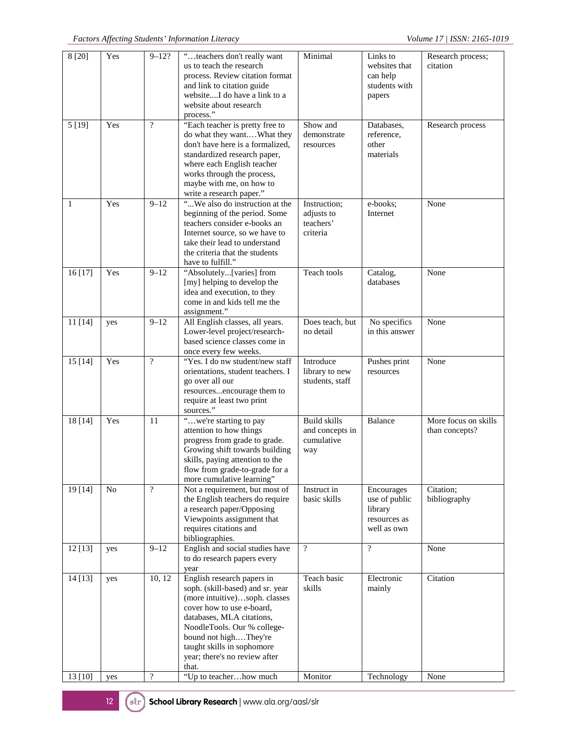| 8[20]              | Yes            | $9 - 12?$                | "teachers don't really want<br>us to teach the research<br>process. Review citation format<br>and link to citation guide<br>websiteI do have a link to a<br>website about research<br>process."                                                                                                                     | Minimal                                                     | Links to<br>websites that<br>can help<br>students with<br>papers      | Research process;<br>citation          |
|--------------------|----------------|--------------------------|---------------------------------------------------------------------------------------------------------------------------------------------------------------------------------------------------------------------------------------------------------------------------------------------------------------------|-------------------------------------------------------------|-----------------------------------------------------------------------|----------------------------------------|
| 5 [19]             | Yes            | $\overline{?}$           | "Each teacher is pretty free to<br>do what they wantWhat they<br>don't have here is a formalized,<br>standardized research paper,<br>where each English teacher<br>works through the process,<br>maybe with me, on how to<br>write a research paper."                                                               | Show and<br>demonstrate<br>resources                        | Databases,<br>reference,<br>other<br>materials                        | Research process                       |
| 1                  | Yes            | $9 - 12$                 | "We also do instruction at the<br>beginning of the period. Some<br>teachers consider e-books an<br>Internet source, so we have to<br>take their lead to understand<br>the criteria that the students<br>have to fulfill."                                                                                           | Instruction;<br>adjusts to<br>teachers'<br>criteria         | e-books;<br>Internet                                                  | None                                   |
| 16 [17]            | Yes            | $9 - 12$                 | "Absolutely[varies] from<br>[my] helping to develop the<br>idea and execution, to they<br>come in and kids tell me the<br>assignment."                                                                                                                                                                              | Teach tools                                                 | Catalog,<br>databases                                                 | None                                   |
| 11 [14]            | yes            | $9 - 12$                 | All English classes, all years.<br>Lower-level project/research-<br>based science classes come in<br>once every few weeks.                                                                                                                                                                                          | Does teach, but<br>no detail                                | No specifics<br>in this answer                                        | None                                   |
| 15[14]             | Yes            | $\overline{?}$           | "Yes. I do nw student/new staff<br>orientations, student teachers. I<br>go over all our<br>resourcesencourage them to<br>require at least two print<br>sources."                                                                                                                                                    | Introduce<br>library to new<br>students, staff              | Pushes print<br>resources                                             | None                                   |
| 18 [14]            | Yes            | 11                       | "we're starting to pay<br>attention to how things<br>progress from grade to grade.<br>Growing shift towards building<br>skills, paying attention to the<br>flow from grade-to-grade for a<br>more cumulative learning"                                                                                              | <b>Build skills</b><br>and concepts in<br>cumulative<br>way | Balance                                                               | More focus on skills<br>than concepts? |
| 19 [14]            | N <sub>o</sub> | $\gamma$                 | Not a requirement, but most of<br>the English teachers do require<br>a research paper/Opposing<br>Viewpoints assignment that<br>requires citations and<br>bibliographies.                                                                                                                                           | Instruct in<br>basic skills                                 | Encourages<br>use of public<br>library<br>resources as<br>well as own | Citation;<br>bibliography              |
| 12 [13]            | yes            | $9 - 12$                 | English and social studies have<br>to do research papers every<br>year                                                                                                                                                                                                                                              | $\overline{?}$                                              | $\overline{?}$                                                        | None                                   |
| 14 [13]<br>13 [10] | yes<br>yes     | 10, 12<br>$\overline{?}$ | English research papers in<br>soph. (skill-based) and sr. year<br>(more intuitive)soph. classes<br>cover how to use e-board,<br>databases, MLA citations,<br>NoodleTools. Our % college-<br>bound not highThey're<br>taught skills in sophomore<br>year; there's no review after<br>that.<br>"Up to teacherhow much | Teach basic<br>skills<br>Monitor                            | Electronic<br>mainly<br>Technology                                    | Citation<br>None                       |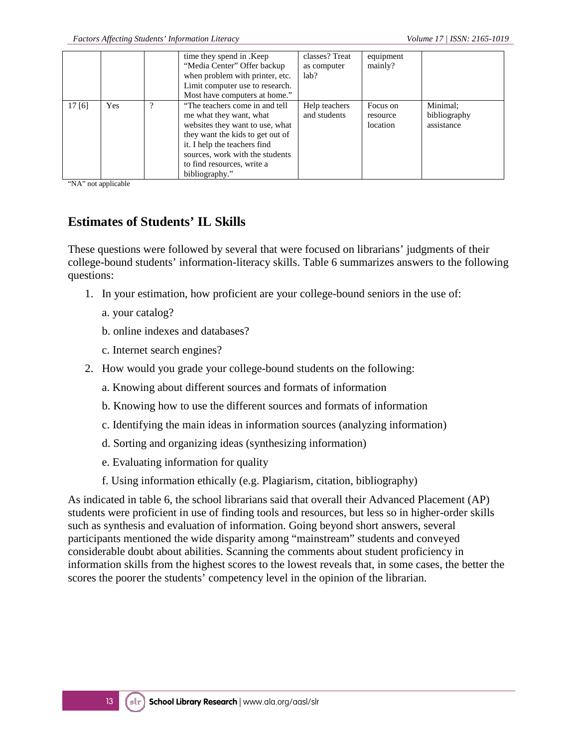|       |            |   | time they spend in .Keep<br>"Media Center" Offer backup<br>when problem with printer, etc.<br>Limit computer use to research.<br>Most have computers at home."                                                                                       | classes? Treat<br>as computer<br>lab? | equipment<br>mainly?             |                                        |
|-------|------------|---|------------------------------------------------------------------------------------------------------------------------------------------------------------------------------------------------------------------------------------------------------|---------------------------------------|----------------------------------|----------------------------------------|
| 17[6] | <b>Yes</b> | າ | "The teachers come in and tell"<br>me what they want, what<br>websites they want to use, what<br>they want the kids to get out of<br>it. I help the teachers find<br>sources, work with the students<br>to find resources, write a<br>bibliography." | Help teachers<br>and students         | Focus on<br>resource<br>location | Minimal:<br>bibliography<br>assistance |

"NA" not applicable

#### **Estimates of Students' IL Skills**

These questions were followed by several that were focused on librarians' judgments of their college-bound students' information-literacy skills. Table 6 summarizes answers to the following questions:

- 1. In your estimation, how proficient are your college-bound seniors in the use of:
	- a. your catalog?
	- b. online indexes and databases?
	- c. Internet search engines?
- 2. How would you grade your college-bound students on the following:
	- a. Knowing about different sources and formats of information
	- b. Knowing how to use the different sources and formats of information
	- c. Identifying the main ideas in information sources (analyzing information)
	- d. Sorting and organizing ideas (synthesizing information)
	- e. Evaluating information for quality
	- f. Using information ethically (e.g. Plagiarism, citation, bibliography)

As indicated in table 6, the school librarians said that overall their Advanced Placement (AP) students were proficient in use of finding tools and resources, but less so in higher-order skills such as synthesis and evaluation of information. Going beyond short answers, several participants mentioned the wide disparity among "mainstream" students and conveyed considerable doubt about abilities. Scanning the comments about student proficiency in information skills from the highest scores to the lowest reveals that, in some cases, the better the scores the poorer the students' competency level in the opinion of the librarian.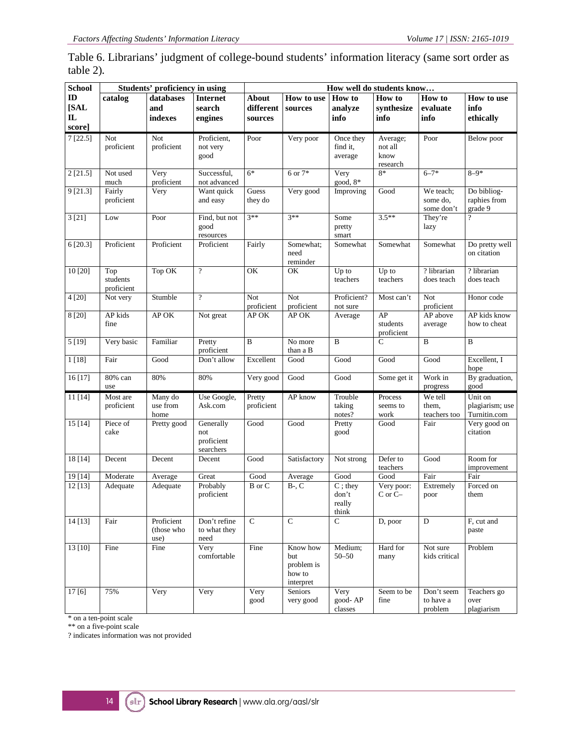Table 6. Librarians' judgment of college-bound students' information literacy (same sort order as table 2)**.**

| <b>School</b>                                  | Students' proficiency in using |                                  |                                             | How well do students know            |                                                      |                                        |                                         |                                     |                                            |
|------------------------------------------------|--------------------------------|----------------------------------|---------------------------------------------|--------------------------------------|------------------------------------------------------|----------------------------------------|-----------------------------------------|-------------------------------------|--------------------------------------------|
| $\mathbf{D}$<br>[SAL<br>$\mathbf{L}$<br>score] | catalog                        | databases<br>and<br>indexes      | <b>Internet</b><br>search<br>engines        | <b>About</b><br>different<br>sources | How to use<br>sources                                | How to<br>analyze<br>info              | How to<br>synthesize<br>info            | How to<br>evaluate<br>info          | How to use<br>info<br>ethically            |
| 7[22.5]                                        | Not<br>proficient              | Not<br>proficient                | Proficient,<br>not very<br>good             | Poor                                 | Very poor                                            | Once they<br>find it,<br>average       | Average;<br>not all<br>know<br>research | Poor                                | Below poor                                 |
| 2[21.5]                                        | Not used<br>much               | Very<br>proficient               | Successful,<br>not advanced                 | $6*$                                 | 6 or 7*                                              | Very<br>good, $8*$                     | $8*$                                    | $6 - 7*$                            | $8 - 9*$                                   |
| 9 [21.3]                                       | Fairly<br>proficient           | Very                             | Want quick<br>and easy                      | Guess<br>they do                     | Very good                                            | Improving                              | Good                                    | We teach:<br>some do.<br>some don't | Do bibliog-<br>raphies from<br>grade 9     |
| 3[21]                                          | Low                            | Poor                             | Find, but not<br>good<br>resources          | $3**$                                | $3**$                                                | Some<br>pretty<br>smart                | $3.5**$                                 | They're<br>lazy                     | ?                                          |
| 6 [20.3]                                       | Proficient                     | Proficient                       | Proficient                                  | Fairly                               | Somewhat:<br>need<br>reminder                        | Somewhat                               | Somewhat                                | Somewhat                            | Do pretty well<br>on citation              |
| 10 [20]                                        | Top<br>students<br>proficient  | Top OK                           | $\gamma$                                    | OK                                   | OK                                                   | Up to<br>teachers                      | Up to<br>teachers                       | ? librarian<br>does teach           | $\overline{?}$ librarian<br>does teach     |
| 4 [20]                                         | Not very                       | Stumble                          | $\boldsymbol{\mathcal{P}}$                  | Not<br>proficient                    | Not<br>proficient                                    | Proficient?<br>not sure                | Most can't                              | Not<br>proficient                   | Honor code                                 |
| 8 [20]                                         | AP kids<br>fine                | APOK                             | Not great                                   | AP OK                                | AP OK                                                | Average                                | AP<br>students<br>proficient            | AP above<br>average                 | AP kids know<br>how to cheat               |
| 5[19]                                          | Very basic                     | Familiar                         | Pretty<br>proficient                        | $\bf{B}$                             | No more<br>than a B                                  | B                                      | C                                       | B                                   | B                                          |
| 1[18]                                          | Fair                           | Good                             | Don't allow                                 | Excellent                            | Good                                                 | Good                                   | Good                                    | Good                                | Excellent, I<br>hope                       |
| 16 [17]                                        | 80% can<br>use                 | 80%                              | 80%                                         | Very good                            | Good                                                 | Good                                   | Some get it                             | Work in<br>progress                 | By graduation,<br>good                     |
| 11[14]                                         | Most are<br>proficient         | Many do<br>use from<br>home      | Use Google,<br>Ask.com                      | Pretty<br>proficient                 | AP know                                              | Trouble<br>taking<br>notes?            | Process<br>seems to<br>work             | We tell<br>them,<br>teachers too    | Unit on<br>plagiarism; use<br>Turnitin.com |
| 15[14]                                         | Piece of<br>cake               | Pretty good                      | Generally<br>not<br>proficient<br>searchers | Good                                 | Good                                                 | Pretty<br>good                         | Good                                    | Fair                                | Very good on<br>citation                   |
| 18 [14]                                        | Decent                         | Decent                           | Decent                                      | Good                                 | Satisfactory                                         | Not strong                             | Defer to<br>teachers                    | Good                                | Room for<br>improvement                    |
| 19 [14]                                        | Moderate                       | Average                          | Great                                       | Good                                 | Average                                              | Good                                   | Good                                    | Fair                                | Fair                                       |
| 12 [13]                                        | Adequate                       | Adequate                         | Probably<br>proficient                      | B or C                               | $B-$ , $C$                                           | $C$ ; they<br>don't<br>really<br>think | Very poor:<br>$C$ or $C-$               | Extremely<br>poor                   | Forced on<br>them                          |
| 14[13]                                         | Fair                           | Proficient<br>(those who<br>use) | Don't refine<br>to what they<br>need        | $\overline{C}$                       | $\overline{C}$                                       | $\overline{C}$                         | D, poor                                 | $\mathbf D$                         | F, cut and<br>paste                        |
| 13 [10]                                        | Fine                           | Fine                             | Very<br>comfortable                         | Fine                                 | Know how<br>but<br>problem is<br>how to<br>interpret | Medium;<br>$50 - 50$                   | Hard for<br>many                        | Not sure<br>kids critical           | Problem                                    |
| 17[6]                                          | 75%                            | Very                             | Very                                        | Very<br>good                         | Seniors<br>very good                                 | Very<br>good-AP<br>classes             | Seem to be<br>fine                      | Don't seem<br>to have a<br>problem  | Teachers go<br>over<br>plagiarism          |

\* on a ten-point scale

\*\* on a five-point scale

? indicates information was not provided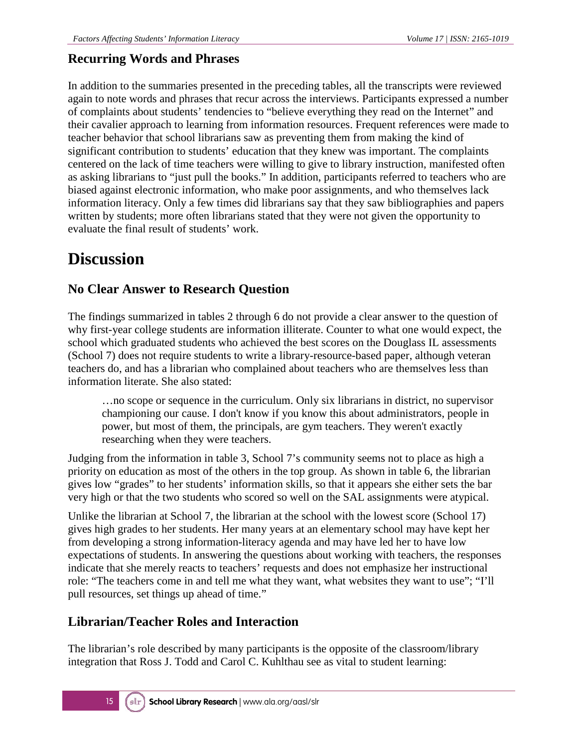### **Recurring Words and Phrases**

In addition to the summaries presented in the preceding tables, all the transcripts were reviewed again to note words and phrases that recur across the interviews. Participants expressed a number of complaints about students' tendencies to "believe everything they read on the Internet" and their cavalier approach to learning from information resources. Frequent references were made to teacher behavior that school librarians saw as preventing them from making the kind of significant contribution to students' education that they knew was important. The complaints centered on the lack of time teachers were willing to give to library instruction, manifested often as asking librarians to "just pull the books." In addition, participants referred to teachers who are biased against electronic information, who make poor assignments, and who themselves lack information literacy. Only a few times did librarians say that they saw bibliographies and papers written by students; more often librarians stated that they were not given the opportunity to evaluate the final result of students' work.

### **Discussion**

### **No Clear Answer to Research Question**

The findings summarized in tables 2 through 6 do not provide a clear answer to the question of why first-year college students are information illiterate. Counter to what one would expect, the school which graduated students who achieved the best scores on the Douglass IL assessments (School 7) does not require students to write a library-resource-based paper, although veteran teachers do, and has a librarian who complained about teachers who are themselves less than information literate. She also stated:

…no scope or sequence in the curriculum. Only six librarians in district, no supervisor championing our cause. I don't know if you know this about administrators, people in power, but most of them, the principals, are gym teachers. They weren't exactly researching when they were teachers.

Judging from the information in table 3, School 7's community seems not to place as high a priority on education as most of the others in the top group. As shown in table 6, the librarian gives low "grades" to her students' information skills, so that it appears she either sets the bar very high or that the two students who scored so well on the SAL assignments were atypical.

Unlike the librarian at School 7, the librarian at the school with the lowest score (School 17) gives high grades to her students. Her many years at an elementary school may have kept her from developing a strong information-literacy agenda and may have led her to have low expectations of students. In answering the questions about working with teachers, the responses indicate that she merely reacts to teachers' requests and does not emphasize her instructional role: "The teachers come in and tell me what they want, what websites they want to use"; "I'll pull resources, set things up ahead of time."

### **Librarian/Teacher Roles and Interaction**

The librarian's role described by many participants is the opposite of the classroom/library integration that Ross J. Todd and Carol C. Kuhlthau see as vital to student learning: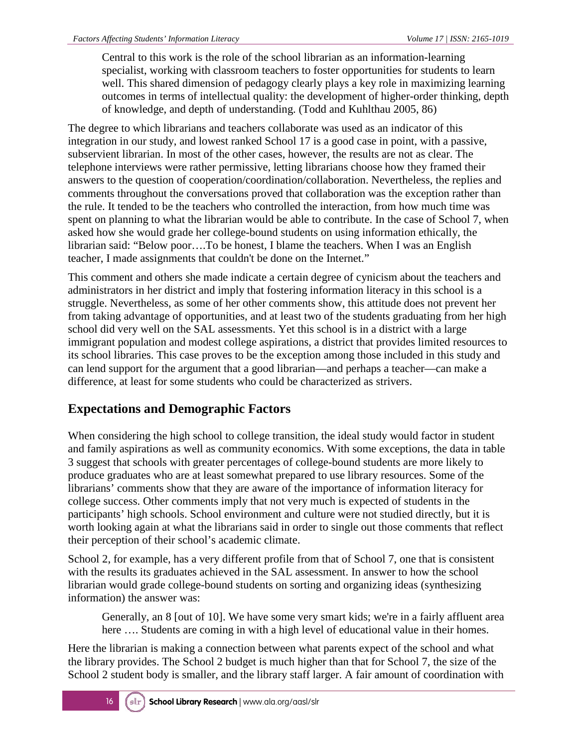Central to this work is the role of the school librarian as an information-learning specialist, working with classroom teachers to foster opportunities for students to learn well. This shared dimension of pedagogy clearly plays a key role in maximizing learning outcomes in terms of intellectual quality: the development of higher-order thinking, depth of knowledge, and depth of understanding. (Todd and Kuhlthau 2005, 86)

The degree to which librarians and teachers collaborate was used as an indicator of this integration in our study, and lowest ranked School 17 is a good case in point, with a passive, subservient librarian. In most of the other cases, however, the results are not as clear. The telephone interviews were rather permissive, letting librarians choose how they framed their answers to the question of cooperation/coordination/collaboration. Nevertheless, the replies and comments throughout the conversations proved that collaboration was the exception rather than the rule. It tended to be the teachers who controlled the interaction, from how much time was spent on planning to what the librarian would be able to contribute. In the case of School 7, when asked how she would grade her college-bound students on using information ethically, the librarian said: "Below poor….To be honest, I blame the teachers. When I was an English teacher, I made assignments that couldn't be done on the Internet."

This comment and others she made indicate a certain degree of cynicism about the teachers and administrators in her district and imply that fostering information literacy in this school is a struggle. Nevertheless, as some of her other comments show, this attitude does not prevent her from taking advantage of opportunities, and at least two of the students graduating from her high school did very well on the SAL assessments. Yet this school is in a district with a large immigrant population and modest college aspirations, a district that provides limited resources to its school libraries. This case proves to be the exception among those included in this study and can lend support for the argument that a good librarian—and perhaps a teacher—can make a difference, at least for some students who could be characterized as strivers.

### **Expectations and Demographic Factors**

When considering the high school to college transition, the ideal study would factor in student and family aspirations as well as community economics. With some exceptions, the data in table 3 suggest that schools with greater percentages of college-bound students are more likely to produce graduates who are at least somewhat prepared to use library resources. Some of the librarians' comments show that they are aware of the importance of information literacy for college success. Other comments imply that not very much is expected of students in the participants' high schools. School environment and culture were not studied directly, but it is worth looking again at what the librarians said in order to single out those comments that reflect their perception of their school's academic climate.

School 2, for example, has a very different profile from that of School 7, one that is consistent with the results its graduates achieved in the SAL assessment. In answer to how the school librarian would grade college-bound students on sorting and organizing ideas (synthesizing information) the answer was:

Generally, an 8 [out of 10]. We have some very smart kids; we're in a fairly affluent area here .... Students are coming in with a high level of educational value in their homes.

Here the librarian is making a connection between what parents expect of the school and what the library provides. The School 2 budget is much higher than that for School 7, the size of the School 2 student body is smaller, and the library staff larger. A fair amount of coordination with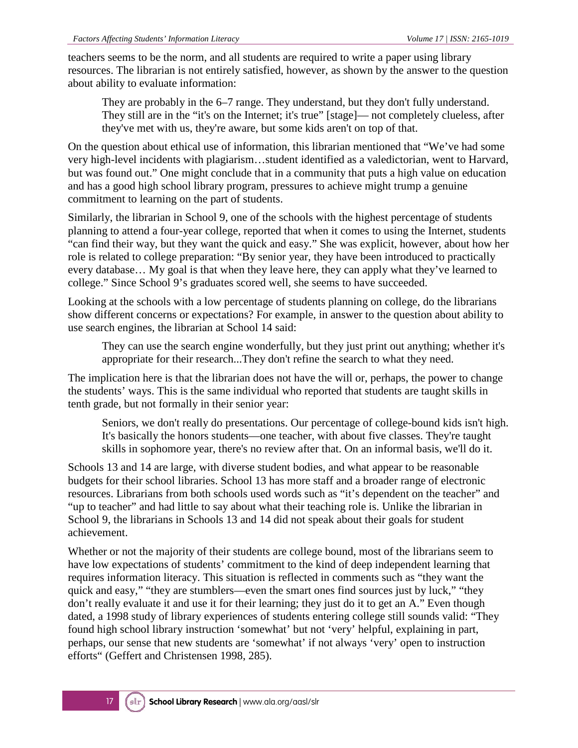teachers seems to be the norm, and all students are required to write a paper using library resources. The librarian is not entirely satisfied, however, as shown by the answer to the question about ability to evaluate information:

They are probably in the 6–7 range. They understand, but they don't fully understand. They still are in the "it's on the Internet; it's true" [stage]— not completely clueless, after they've met with us, they're aware, but some kids aren't on top of that.

On the question about ethical use of information, this librarian mentioned that "We've had some very high-level incidents with plagiarism…student identified as a valedictorian, went to Harvard, but was found out." One might conclude that in a community that puts a high value on education and has a good high school library program, pressures to achieve might trump a genuine commitment to learning on the part of students.

Similarly, the librarian in School 9, one of the schools with the highest percentage of students planning to attend a four-year college, reported that when it comes to using the Internet, students "can find their way, but they want the quick and easy." She was explicit, however, about how her role is related to college preparation: "By senior year, they have been introduced to practically every database… My goal is that when they leave here, they can apply what they've learned to college." Since School 9's graduates scored well, she seems to have succeeded.

Looking at the schools with a low percentage of students planning on college, do the librarians show different concerns or expectations? For example, in answer to the question about ability to use search engines, the librarian at School 14 said:

They can use the search engine wonderfully, but they just print out anything; whether it's appropriate for their research...They don't refine the search to what they need.

The implication here is that the librarian does not have the will or, perhaps, the power to change the students' ways. This is the same individual who reported that students are taught skills in tenth grade, but not formally in their senior year:

Seniors, we don't really do presentations. Our percentage of college-bound kids isn't high. It's basically the honors students—one teacher, with about five classes. They're taught skills in sophomore year, there's no review after that. On an informal basis, we'll do it.

Schools 13 and 14 are large, with diverse student bodies, and what appear to be reasonable budgets for their school libraries. School 13 has more staff and a broader range of electronic resources. Librarians from both schools used words such as "it's dependent on the teacher" and "up to teacher" and had little to say about what their teaching role is. Unlike the librarian in School 9, the librarians in Schools 13 and 14 did not speak about their goals for student achievement.

Whether or not the majority of their students are college bound, most of the librarians seem to have low expectations of students' commitment to the kind of deep independent learning that requires information literacy. This situation is reflected in comments such as "they want the quick and easy," "they are stumblers—even the smart ones find sources just by luck," "they don't really evaluate it and use it for their learning; they just do it to get an A." Even though dated, a 1998 study of library experiences of students entering college still sounds valid: "They found high school library instruction 'somewhat' but not 'very' helpful, explaining in part, perhaps, our sense that new students are 'somewhat' if not always 'very' open to instruction efforts" (Geffert and Christensen 1998, 285).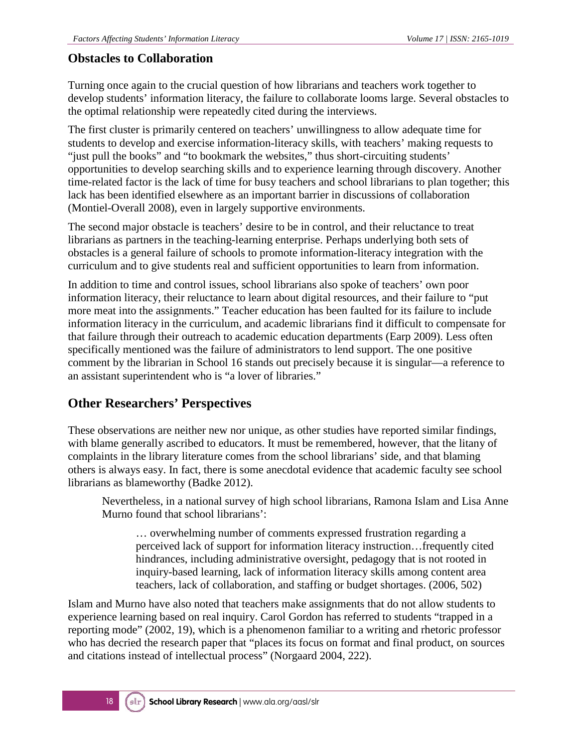#### **Obstacles to Collaboration**

Turning once again to the crucial question of how librarians and teachers work together to develop students' information literacy, the failure to collaborate looms large. Several obstacles to the optimal relationship were repeatedly cited during the interviews.

The first cluster is primarily centered on teachers' unwillingness to allow adequate time for students to develop and exercise information-literacy skills, with teachers' making requests to "just pull the books" and "to bookmark the websites," thus short-circuiting students' opportunities to develop searching skills and to experience learning through discovery. Another time-related factor is the lack of time for busy teachers and school librarians to plan together; this lack has been identified elsewhere as an important barrier in discussions of collaboration (Montiel-Overall 2008), even in largely supportive environments.

The second major obstacle is teachers' desire to be in control, and their reluctance to treat librarians as partners in the teaching-learning enterprise. Perhaps underlying both sets of obstacles is a general failure of schools to promote information-literacy integration with the curriculum and to give students real and sufficient opportunities to learn from information.

In addition to time and control issues, school librarians also spoke of teachers' own poor information literacy, their reluctance to learn about digital resources, and their failure to "put more meat into the assignments." Teacher education has been faulted for its failure to include information literacy in the curriculum, and academic librarians find it difficult to compensate for that failure through their outreach to academic education departments (Earp 2009). Less often specifically mentioned was the failure of administrators to lend support. The one positive comment by the librarian in School 16 stands out precisely because it is singular—a reference to an assistant superintendent who is "a lover of libraries."

#### **Other Researchers' Perspectives**

These observations are neither new nor unique, as other studies have reported similar findings, with blame generally ascribed to educators. It must be remembered, however, that the litany of complaints in the library literature comes from the school librarians' side, and that blaming others is always easy. In fact, there is some anecdotal evidence that academic faculty see school librarians as blameworthy (Badke 2012).

Nevertheless, in a national survey of high school librarians, Ramona Islam and Lisa Anne Murno found that school librarians':

… overwhelming number of comments expressed frustration regarding a perceived lack of support for information literacy instruction…frequently cited hindrances, including administrative oversight, pedagogy that is not rooted in inquiry-based learning, lack of information literacy skills among content area teachers, lack of collaboration, and staffing or budget shortages. (2006, 502)

Islam and Murno have also noted that teachers make assignments that do not allow students to experience learning based on real inquiry. Carol Gordon has referred to students "trapped in a reporting mode" (2002, 19), which is a phenomenon familiar to a writing and rhetoric professor who has decried the research paper that "places its focus on format and final product, on sources and citations instead of intellectual process" (Norgaard 2004, 222).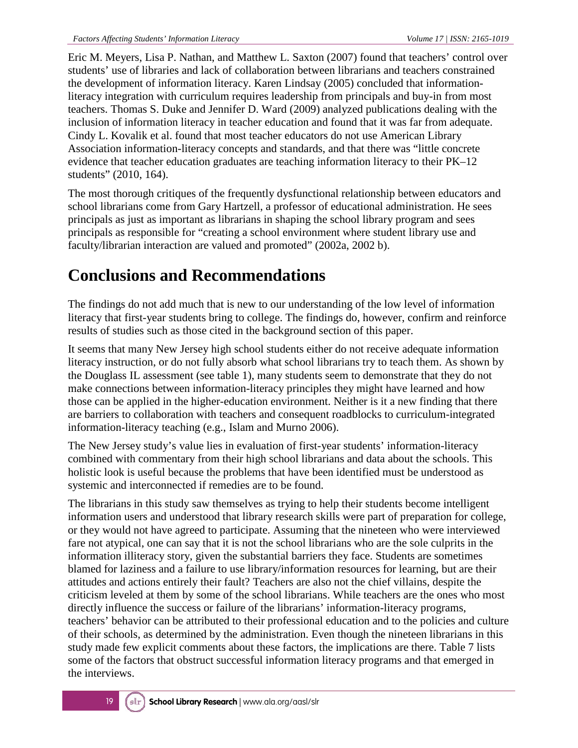Eric M. Meyers, Lisa P. Nathan, and Matthew L. Saxton (2007) found that teachers' control over students' use of libraries and lack of collaboration between librarians and teachers constrained the development of information literacy. Karen Lindsay (2005) concluded that informationliteracy integration with curriculum requires leadership from principals and buy-in from most teachers. Thomas S. Duke and Jennifer D. Ward (2009) analyzed publications dealing with the inclusion of information literacy in teacher education and found that it was far from adequate. Cindy L. Kovalik et al. found that most teacher educators do not use American Library Association information-literacy concepts and standards, and that there was "little concrete evidence that teacher education graduates are teaching information literacy to their PK–12 students" (2010, 164).

The most thorough critiques of the frequently dysfunctional relationship between educators and school librarians come from Gary Hartzell, a professor of educational administration. He sees principals as just as important as librarians in shaping the school library program and sees principals as responsible for "creating a school environment where student library use and faculty/librarian interaction are valued and promoted" (2002a, 2002 b).

# **Conclusions and Recommendations**

The findings do not add much that is new to our understanding of the low level of information literacy that first-year students bring to college. The findings do, however, confirm and reinforce results of studies such as those cited in the background section of this paper.

It seems that many New Jersey high school students either do not receive adequate information literacy instruction, or do not fully absorb what school librarians try to teach them. As shown by the Douglass IL assessment (see table 1), many students seem to demonstrate that they do not make connections between information-literacy principles they might have learned and how those can be applied in the higher-education environment. Neither is it a new finding that there are barriers to collaboration with teachers and consequent roadblocks to curriculum-integrated information-literacy teaching (e.g., Islam and Murno 2006).

The New Jersey study's value lies in evaluation of first-year students' information-literacy combined with commentary from their high school librarians and data about the schools. This holistic look is useful because the problems that have been identified must be understood as systemic and interconnected if remedies are to be found.

The librarians in this study saw themselves as trying to help their students become intelligent information users and understood that library research skills were part of preparation for college, or they would not have agreed to participate. Assuming that the nineteen who were interviewed fare not atypical, one can say that it is not the school librarians who are the sole culprits in the information illiteracy story, given the substantial barriers they face. Students are sometimes blamed for laziness and a failure to use library/information resources for learning, but are their attitudes and actions entirely their fault? Teachers are also not the chief villains, despite the criticism leveled at them by some of the school librarians. While teachers are the ones who most directly influence the success or failure of the librarians' information-literacy programs, teachers' behavior can be attributed to their professional education and to the policies and culture of their schools, as determined by the administration. Even though the nineteen librarians in this study made few explicit comments about these factors, the implications are there. Table 7 lists some of the factors that obstruct successful information literacy programs and that emerged in the interviews.

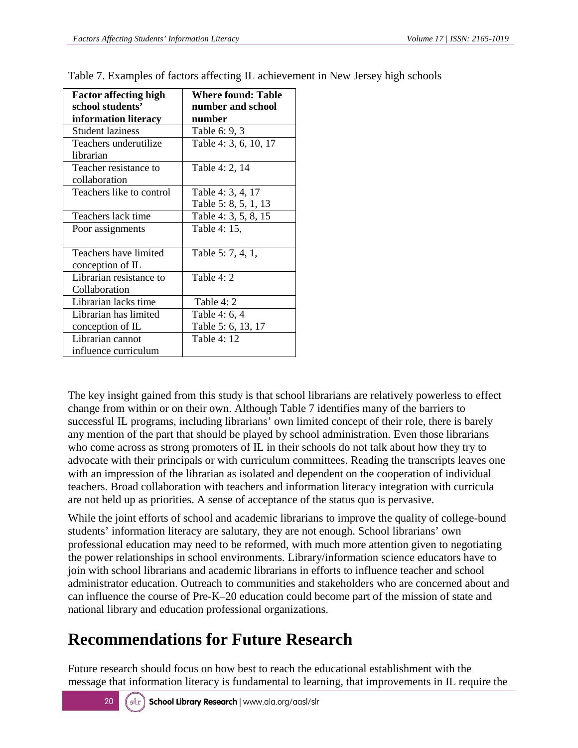| <b>Factor affecting high</b><br>school students' | <b>Where found: Table</b><br>number and school |
|--------------------------------------------------|------------------------------------------------|
| information literacy                             | number                                         |
| <b>Student laziness</b>                          | Table 6: 9, 3                                  |
| Teachers underutilize                            | Table 4: 3, 6, 10, 17                          |
| librarian                                        |                                                |
| Teacher resistance to                            | Table 4: 2, 14                                 |
| collaboration                                    |                                                |
| Teachers like to control                         | Table 4: 3, 4, 17                              |
|                                                  | Table 5: 8, 5, 1, 13                           |
| Teachers lack time                               | Table 4: 3, 5, 8, 15                           |
| Poor assignments                                 | Table 4: 15,                                   |
|                                                  |                                                |
| Teachers have limited                            | Table 5: 7, 4, 1,                              |
| conception of IL                                 |                                                |
| Librarian resistance to                          | Table $4:2$                                    |
| Collaboration                                    |                                                |
| Librarian lacks time                             | Table 4: 2                                     |
| Librarian has limited                            | Table 4: 6, 4                                  |
| conception of IL                                 | Table 5: 6, 13, 17                             |
| Librarian cannot                                 | Table 4: 12                                    |
| influence curriculum                             |                                                |

Table 7. Examples of factors affecting IL achievement in New Jersey high schools

The key insight gained from this study is that school librarians are relatively powerless to effect change from within or on their own. Although Table 7 identifies many of the barriers to successful IL programs, including librarians' own limited concept of their role, there is barely any mention of the part that should be played by school administration. Even those librarians who come across as strong promoters of IL in their schools do not talk about how they try to advocate with their principals or with curriculum committees. Reading the transcripts leaves one with an impression of the librarian as isolated and dependent on the cooperation of individual teachers. Broad collaboration with teachers and information literacy integration with curricula are not held up as priorities. A sense of acceptance of the status quo is pervasive.

While the joint efforts of school and academic librarians to improve the quality of college-bound students' information literacy are salutary, they are not enough. School librarians' own professional education may need to be reformed, with much more attention given to negotiating the power relationships in school environments. Library/information science educators have to join with school librarians and academic librarians in efforts to influence teacher and school administrator education. Outreach to communities and stakeholders who are concerned about and can influence the course of Pre-K–20 education could become part of the mission of state and national library and education professional organizations.

# **Recommendations for Future Research**

Future research should focus on how best to reach the educational establishment with the message that information literacy is fundamental to learning, that improvements in IL require the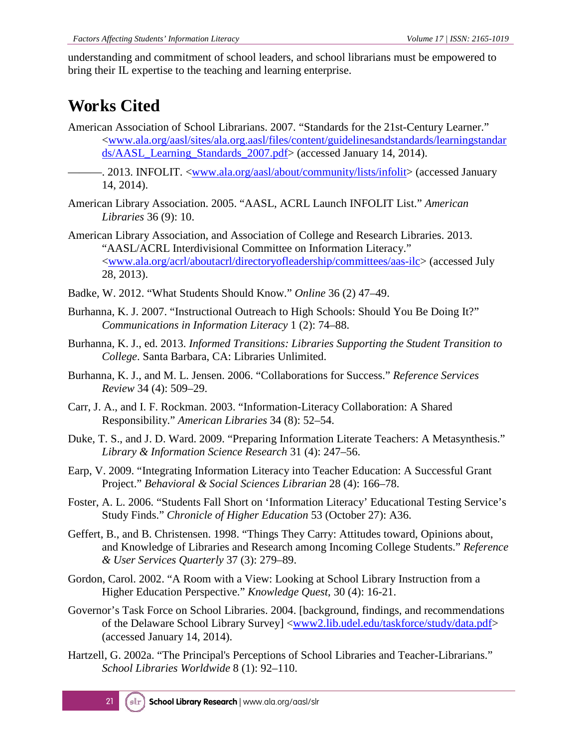understanding and commitment of school leaders, and school librarians must be empowered to bring their IL expertise to the teaching and learning enterprise.

# **Works Cited**

- American Association of School Librarians. 2007. "Standards for the 21st-Century Learner." [<www.ala.org/aasl/sites/ala.org.aasl/files/content/guidelinesandstandards/learningstandar](http://www.ala.org/aasl/sites/ala.org.aasl/files/content/guidelinesandstandards/learningstandards/AASL_Learning_Standards_2007.pdf) [ds/AASL\\_Learning\\_Standards\\_2007.pdf>](http://www.ala.org/aasl/sites/ala.org.aasl/files/content/guidelinesandstandards/learningstandards/AASL_Learning_Standards_2007.pdf) (accessed January 14, 2014).
- ———. 2013. INFOLIT. [<www.ala.org/aasl/about/community/lists/infolit>](http://www.ala.org/aasl/about/community/lists/infolit) (accessed January 14, 2014).
- American Library Association. 2005. "AASL, ACRL Launch INFOLIT List." *American Libraries* 36 (9): 10.
- American Library Association, and Association of College and Research Libraries. 2013. "AASL/ACRL Interdivisional Committee on Information Literacy." [<www.ala.org/acrl/aboutacrl/directoryofleadership/committees/aas-ilc>](http://www.ala.org/acrl/aboutacrl/directoryofleadership/committees/aas-ilc) (accessed July 28, 2013).
- Badke, W. 2012. "What Students Should Know." *Online* 36 (2) 47–49.
- Burhanna, K. J. 2007. "Instructional Outreach to High Schools: Should You Be Doing It?" *Communications in Information Literacy* 1 (2): 74–88.
- Burhanna, K. J., ed. 2013. *Informed Transitions: Libraries Supporting the Student Transition to College*. Santa Barbara, CA: Libraries Unlimited.
- Burhanna, K. J., and M. L. Jensen. 2006. "Collaborations for Success." *Reference Services Review* 34 (4): 509–29.
- Carr, J. A., and I. F. Rockman. 2003. "Information-Literacy Collaboration: A Shared Responsibility." *American Libraries* 34 (8): 52–54.
- Duke, T. S., and J. D. Ward. 2009. "Preparing Information Literate Teachers: A Metasynthesis." *Library & Information Science Research* 31 (4): 247–56.
- Earp, V. 2009. "Integrating Information Literacy into Teacher Education: A Successful Grant Project." *Behavioral & Social Sciences Librarian* 28 (4): 166–78.
- Foster, A. L. 2006. "Students Fall Short on 'Information Literacy' Educational Testing Service's Study Finds." *Chronicle of Higher Education* 53 (October 27): A36.
- Geffert, B., and B. Christensen. 1998. "Things They Carry: Attitudes toward, Opinions about, and Knowledge of Libraries and Research among Incoming College Students." *Reference & User Services Quarterly* 37 (3): 279–89.
- Gordon, Carol. 2002. "A Room with a View: Looking at School Library Instruction from a Higher Education Perspective." *Knowledge Quest*, 30 (4): 16-21.
- Governor's Task Force on School Libraries. 2004. [background, findings, and recommendations of the Delaware School Library Survey] [<www2.lib.udel.edu/taskforce/study/data.pdf>](http://www2.lib.udel.edu/taskforce/study/data.pdf) (accessed January 14, 2014).
- Hartzell, G. 2002a. "The Principal's Perceptions of School Libraries and Teacher-Librarians." *School Libraries Worldwide* 8 (1): 92–110.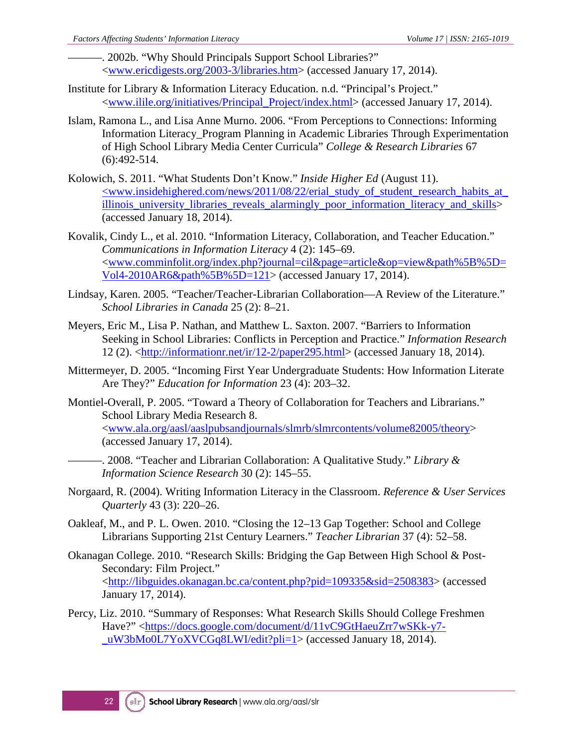. 2002b. "Why Should Principals Support School Libraries?" [<www.ericdigests.org/2003-3/libraries.htm>](http://www.ericdigests.org/2003-3/libraries.htm) (accessed January 17, 2014).

- Institute for Library & Information Literacy Education. n.d. "Principal's Project." [<www.ilile.org/initiatives/Principal\\_Project/index.html>](http://www.ilile.org/initiatives/Principal_Project/index.html) (accessed January 17, 2014).
- Islam, Ramona L., and Lisa Anne Murno. 2006. "From Perceptions to Connections: Informing Information Literacy\_Program Planning in Academic Libraries Through Experimentation of High School Library Media Center Curricula" *College & Research Libraries* 67 (6):492-514.
- Kolowich, S. 2011. "What Students Don't Know." *Inside Higher Ed* (August 11). [<www.insidehighered.com/news/2011/08/22/erial\\_study\\_of\\_student\\_research\\_habits\\_at\\_](http://www.insidehighered.com/news/2011/08/22/erial_study_of_student_research_habits_at_illinois_university_libraries_reveals_alarmingly_poor_information_literacy_and_skills) illinois university libraries reveals alarmingly poor information literacy and skills> (accessed January 18, 2014).
- Kovalik, Cindy L., et al. 2010. "Information Literacy, Collaboration, and Teacher Education." *Communications in Information Literacy* 4 (2): 145–69. [<www.comminfolit.org/index.php?journal=cil&page=article&op=view&path%5B%5D=](http://www.comminfolit.org/index.php?journal=cil&page=article&op=view&path%5B%5D=Vol4-2010AR6&path%5B%5D=121) [Vol4-2010AR6&path%5B%5D=121>](http://www.comminfolit.org/index.php?journal=cil&page=article&op=view&path%5B%5D=Vol4-2010AR6&path%5B%5D=121) (accessed January 17, 2014).
- Lindsay, Karen. 2005. "Teacher/Teacher-Librarian Collaboration—A Review of the Literature." *School Libraries in Canada* 25 (2): 8–21.
- Meyers, Eric M., Lisa P. Nathan, and Matthew L. Saxton. 2007. "Barriers to Information Seeking in School Libraries: Conflicts in Perception and Practice." *Information Research* 12 (2). [<http://informationr.net/ir/12-2/paper295.html>](http://informationr.net/ir/12-2/paper295.html) (accessed January 18, 2014).
- Mittermeyer, D. 2005. "Incoming First Year Undergraduate Students: How Information Literate Are They?" *Education for Information* 23 (4): 203–32.
- Montiel-Overall, P. 2005. "Toward a Theory of Collaboration for Teachers and Librarians." School Library Media Research 8. [<www.ala.org/aasl/aaslpubsandjournals/slmrb/slmrcontents/volume82005/theory>](http://www.ala.org/aasl/aaslpubsandjournals/slmrb/slmrcontents/volume82005/theory) (accessed January 17, 2014).
	- ———. 2008. "Teacher and Librarian Collaboration: A Qualitative Study." *Library & Information Science Research* 30 (2): 145–55.
- Norgaard, R. (2004). Writing Information Literacy in the Classroom. *Reference & User Services Quarterly* 43 (3): 220–26.
- Oakleaf, M., and P. L. Owen. 2010. "Closing the 12–13 Gap Together: School and College Librarians Supporting 21st Century Learners." *Teacher Librarian* 37 (4): 52–58.
- Okanagan College. 2010. "Research Skills: Bridging the Gap Between High School & Post-Secondary: Film Project." [<http://libguides.okanagan.bc.ca/content.php?pid=109335&sid=2508383>](http://libguides.okanagan.bc.ca/content.php?pid=109335&sid=2508383) (accessed January 17, 2014).
- Percy, Liz. 2010. "Summary of Responses: What Research Skills Should College Freshmen Have?" [<https://docs.google.com/document/d/11vC9GtHaeuZrr7wSKk-y7-](https://docs.google.com/document/d/11vC9GtHaeuZrr7wSKk-y7-_uW3bMo0L7YoXVCGq8LWI/edit?pli=1) [\\_uW3bMo0L7YoXVCGq8LWI/edit?pli=1>](https://docs.google.com/document/d/11vC9GtHaeuZrr7wSKk-y7-_uW3bMo0L7YoXVCGq8LWI/edit?pli=1) (accessed January 18, 2014).